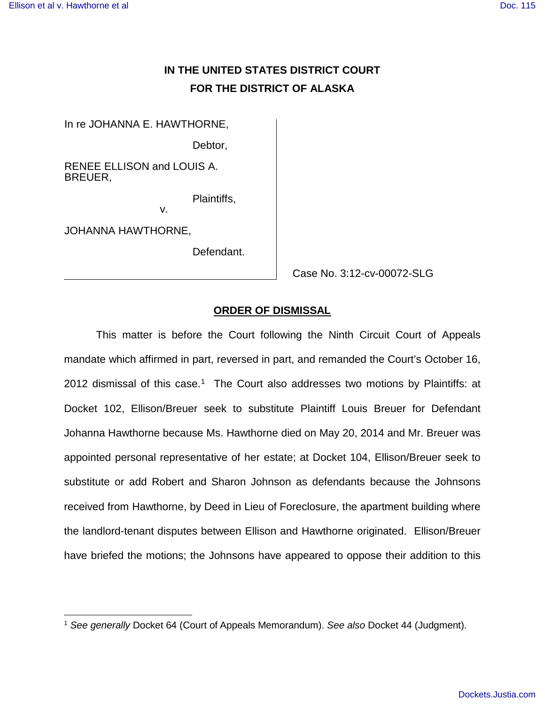$\overline{a}$ 

## **IN THE UNITED STATES DISTRICT COURT FOR THE DISTRICT OF ALASKA**

In re JOHANNA E. HAWTHORNE,

Debtor,

RENEE ELLISON and LOUIS A. BREUER,

v.

Plaintiffs,

JOHANNA HAWTHORNE,

Defendant.

Case No. 3:12-cv-00072-SLG

## **ORDER OF DISMISSAL**

This matter is before the Court following the Ninth Circuit Court of Appeals mandate which affirmed in part, reversed in part, and remanded the Court's October 16, 20[1](#page-0-0)2 dismissal of this case.<sup>1</sup> The Court also addresses two motions by Plaintiffs: at Docket 102, Ellison/Breuer seek to substitute Plaintiff Louis Breuer for Defendant Johanna Hawthorne because Ms. Hawthorne died on May 20, 2014 and Mr. Breuer was appointed personal representative of her estate; at Docket 104, Ellison/Breuer seek to substitute or add Robert and Sharon Johnson as defendants because the Johnsons received from Hawthorne, by Deed in Lieu of Foreclosure, the apartment building where the landlord-tenant disputes between Ellison and Hawthorne originated. Ellison/Breuer have briefed the motions; the Johnsons have appeared to oppose their addition to this

<span id="page-0-0"></span><sup>&</sup>lt;sup>1</sup> See generally Docket 64 (Court of Appeals Memorandum). See also Docket 44 (Judgment).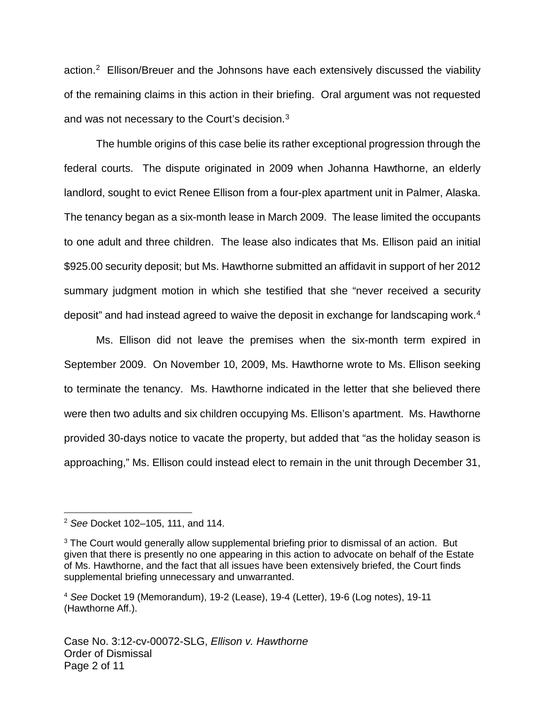action.<sup>[2](#page-1-0)</sup> Ellison/Breuer and the Johnsons have each extensively discussed the viability of the remaining claims in this action in their briefing. Oral argument was not requested and was not necessary to the Court's decision. $3$ 

The humble origins of this case belie its rather exceptional progression through the federal courts. The dispute originated in 2009 when Johanna Hawthorne, an elderly landlord, sought to evict Renee Ellison from a four-plex apartment unit in Palmer, Alaska. The tenancy began as a six-month lease in March 2009. The lease limited the occupants to one adult and three children. The lease also indicates that Ms. Ellison paid an initial \$925.00 security deposit; but Ms. Hawthorne submitted an affidavit in support of her 2012 summary judgment motion in which she testified that she "never received a security deposit" and had instead agreed to waive the deposit in exchange for landscaping work.<sup>[4](#page-1-2)</sup>

Ms. Ellison did not leave the premises when the six-month term expired in September 2009. On November 10, 2009, Ms. Hawthorne wrote to Ms. Ellison seeking to terminate the tenancy. Ms. Hawthorne indicated in the letter that she believed there were then two adults and six children occupying Ms. Ellison's apartment. Ms. Hawthorne provided 30-days notice to vacate the property, but added that "as the holiday season is approaching," Ms. Ellison could instead elect to remain in the unit through December 31,

1

<span id="page-1-0"></span><sup>2</sup> See Docket 102–105, 111, and 114.

<span id="page-1-1"></span><sup>&</sup>lt;sup>3</sup> The Court would generally allow supplemental briefing prior to dismissal of an action. But given that there is presently no one appearing in this action to advocate on behalf of the Estate of Ms. Hawthorne, and the fact that all issues have been extensively briefed, the Court finds supplemental briefing unnecessary and unwarranted.

<span id="page-1-2"></span><sup>4</sup> See Docket 19 (Memorandum), 19-2 (Lease), 19-4 (Letter), 19-6 (Log notes), 19-11 (Hawthorne Aff.).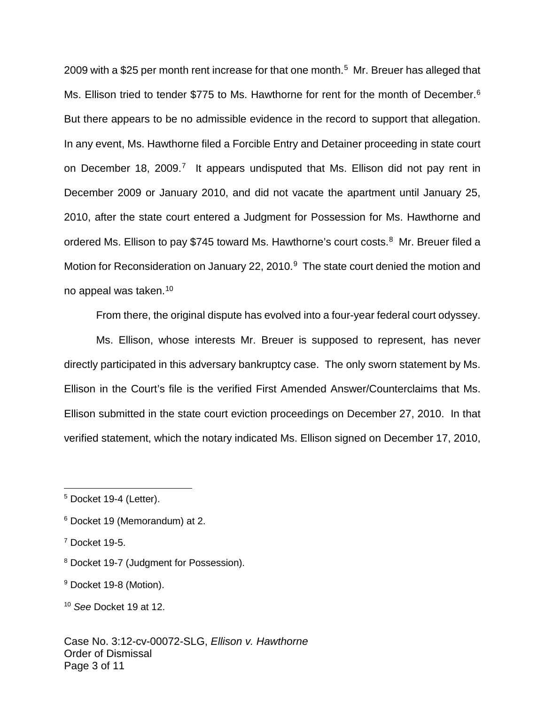2009 with a \$25 per month rent increase for that one month. [5](#page-2-0) Mr. Breuer has alleged that Ms. Ellison tried to tender \$775 to Ms. Hawthorne for rent for the month of December.<sup>[6](#page-2-1)</sup> But there appears to be no admissible evidence in the record to support that allegation. In any event, Ms. Hawthorne filed a Forcible Entry and Detainer proceeding in state court on December 18, 2009.<sup>[7](#page-2-2)</sup> It appears undisputed that Ms. Ellison did not pay rent in December 2009 or January 2010, and did not vacate the apartment until January 25, 2010, after the state court entered a Judgment for Possession for Ms. Hawthorne and ordered Ms. Ellison to pay \$745 toward Ms. Hawthorne's court costs.<sup>[8](#page-2-3)</sup> Mr. Breuer filed a Motion for Reconsideration on January 22, 2010.<sup>[9](#page-2-4)</sup> The state court denied the motion and no appeal was taken.<sup>[10](#page-2-5)</sup>

From there, the original dispute has evolved into a four-year federal court odyssey.

Ms. Ellison, whose interests Mr. Breuer is supposed to represent, has never directly participated in this adversary bankruptcy case. The only sworn statement by Ms. Ellison in the Court's file is the verified First Amended Answer/Counterclaims that Ms. Ellison submitted in the state court eviction proceedings on December 27, 2010. In that verified statement, which the notary indicated Ms. Ellison signed on December 17, 2010,

1

<span id="page-2-0"></span><sup>5</sup> Docket 19-4 (Letter).

<span id="page-2-1"></span><sup>6</sup> Docket 19 (Memorandum) at 2.

<span id="page-2-2"></span><sup>7</sup> Docket 19-5.

<span id="page-2-3"></span><sup>8</sup> Docket 19-7 (Judgment for Possession).

<span id="page-2-4"></span><sup>&</sup>lt;sup>9</sup> Docket 19-8 (Motion).

<span id="page-2-5"></span><sup>10</sup> See Docket 19 at 12.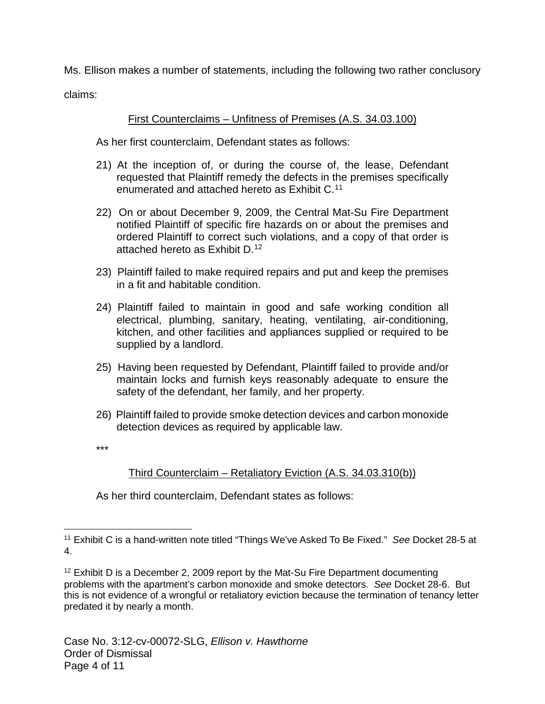Ms. Ellison makes a number of statements, including the following two rather conclusory

claims:

## First Counterclaims – Unfitness of Premises (A.S. 34.03.100)

As her first counterclaim, Defendant states as follows:

- 21) At the inception of, or during the course of, the lease, Defendant requested that Plaintiff remedy the defects in the premises specifically enumerated and attached hereto as Exhibit C.[11](#page-3-0)
- 22) On or about December 9, 2009, the Central Mat-Su Fire Department notified Plaintiff of specific fire hazards on or about the premises and ordered Plaintiff to correct such violations, and a copy of that order is attached hereto as Exhibit D.[12](#page-3-1)
- 23) Plaintiff failed to make required repairs and put and keep the premises in a fit and habitable condition.
- 24) Plaintiff failed to maintain in good and safe working condition all electrical, plumbing, sanitary, heating, ventilating, air-conditioning, kitchen, and other facilities and appliances supplied or required to be supplied by a landlord.
- 25) Having been requested by Defendant, Plaintiff failed to provide and/or maintain locks and furnish keys reasonably adequate to ensure the safety of the defendant, her family, and her property.
- 26) Plaintiff failed to provide smoke detection devices and carbon monoxide detection devices as required by applicable law.

\*\*\*

 $\overline{a}$ 

## Third Counterclaim – Retaliatory Eviction (A.S. 34.03.310(b))

As her third counterclaim, Defendant states as follows:

<span id="page-3-0"></span><sup>&</sup>lt;sup>11</sup> Exhibit C is a hand-written note titled "Things We've Asked To Be Fixed." See Docket 28-5 at 4.

<span id="page-3-1"></span> $12$  Exhibit D is a December 2, 2009 report by the Mat-Su Fire Department documenting problems with the apartment's carbon monoxide and smoke detectors. See Docket 28-6. But this is not evidence of a wrongful or retaliatory eviction because the termination of tenancy letter predated it by nearly a month.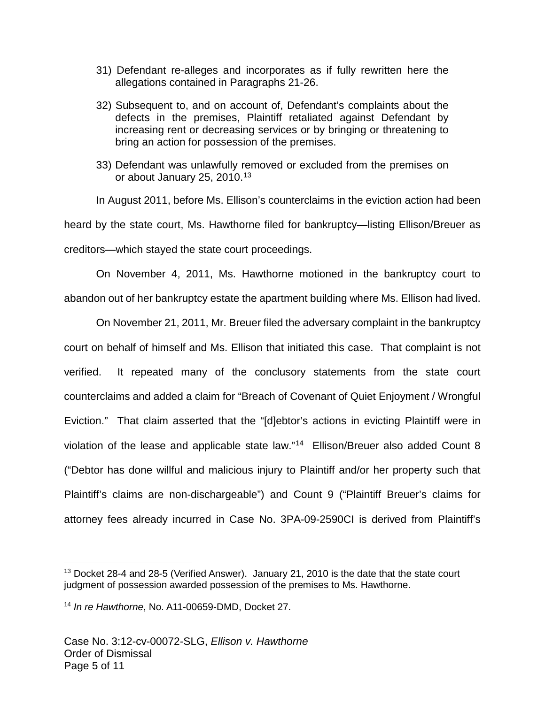- 31) Defendant re-alleges and incorporates as if fully rewritten here the allegations contained in Paragraphs 21-26.
- 32) Subsequent to, and on account of, Defendant's complaints about the defects in the premises, Plaintiff retaliated against Defendant by increasing rent or decreasing services or by bringing or threatening to bring an action for possession of the premises.
- 33) Defendant was unlawfully removed or excluded from the premises on or about January 25, 2010.<sup>[13](#page-4-0)</sup>

In August 2011, before Ms. Ellison's counterclaims in the eviction action had been heard by the state court, Ms. Hawthorne filed for bankruptcy—listing Ellison/Breuer as creditors—which stayed the state court proceedings.

On November 4, 2011, Ms. Hawthorne motioned in the bankruptcy court to abandon out of her bankruptcy estate the apartment building where Ms. Ellison had lived.

On November 21, 2011, Mr. Breuer filed the adversary complaint in the bankruptcy court on behalf of himself and Ms. Ellison that initiated this case. That complaint is not verified. It repeated many of the conclusory statements from the state court counterclaims and added a claim for "Breach of Covenant of Quiet Enjoyment / Wrongful Eviction." That claim asserted that the "[d]ebtor's actions in evicting Plaintiff were in violation of the lease and applicable state law."<sup>[14](#page-4-1)</sup> Ellison/Breuer also added Count 8 ("Debtor has done willful and malicious injury to Plaintiff and/or her property such that Plaintiff's claims are non-dischargeable") and Count 9 ("Plaintiff Breuer's claims for attorney fees already incurred in Case No. 3PA-09-2590CI is derived from Plaintiff's

1

<span id="page-4-0"></span><sup>&</sup>lt;sup>13</sup> Docket 28-4 and 28-5 (Verified Answer). January 21, 2010 is the date that the state court judgment of possession awarded possession of the premises to Ms. Hawthorne.

<span id="page-4-1"></span><sup>&</sup>lt;sup>14</sup> In re Hawthorne, No. A11-00659-DMD, Docket 27.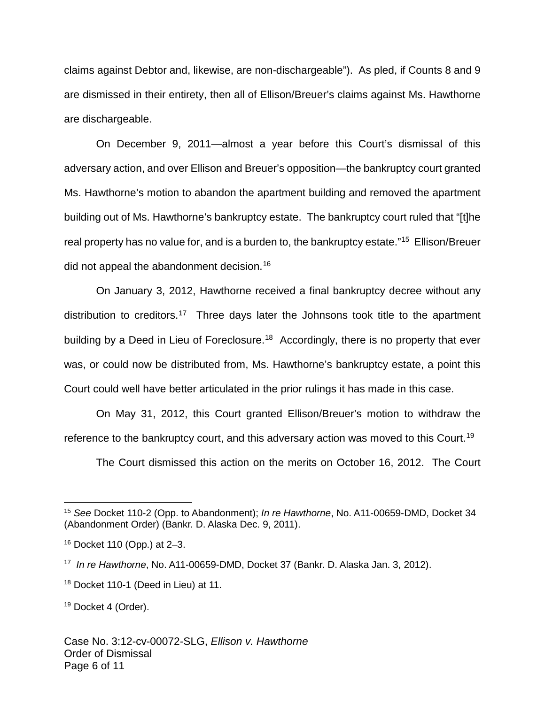claims against Debtor and, likewise, are non-dischargeable"). As pled, if Counts 8 and 9 are dismissed in their entirety, then all of Ellison/Breuer's claims against Ms. Hawthorne are dischargeable.

On December 9, 2011—almost a year before this Court's dismissal of this adversary action, and over Ellison and Breuer's opposition—the bankruptcy court granted Ms. Hawthorne's motion to abandon the apartment building and removed the apartment building out of Ms. Hawthorne's bankruptcy estate. The bankruptcy court ruled that "[t]he real property has no value for, and is a burden to, the bankruptcy estate."<sup>[15](#page-5-0)</sup> Ellison/Breuer did not appeal the abandonment decision.<sup>[16](#page-5-1)</sup>

On January 3, 2012, Hawthorne received a final bankruptcy decree without any distribution to creditors.<sup>[17](#page-5-2)</sup> Three days later the Johnsons took title to the apartment building by a Deed in Lieu of Foreclosure.<sup>[18](#page-5-3)</sup> Accordingly, there is no property that ever was, or could now be distributed from, Ms. Hawthorne's bankruptcy estate, a point this Court could well have better articulated in the prior rulings it has made in this case.

On May 31, 2012, this Court granted Ellison/Breuer's motion to withdraw the reference to the bankruptcy court, and this adversary action was moved to this Court.<sup>[19](#page-5-4)</sup>

The Court dismissed this action on the merits on October 16, 2012. The Court

<span id="page-5-0"></span><sup>&</sup>lt;sup>15</sup> See Docket 110-2 (Opp. to Abandonment); In re Hawthorne, No. A11-00659-DMD, Docket 34 (Abandonment Order) (Bankr. D. Alaska Dec. 9, 2011).

<span id="page-5-1"></span><sup>16</sup> Docket 110 (Opp.) at 2–3.

<span id="page-5-2"></span><sup>&</sup>lt;sup>17</sup> In re Hawthorne, No. A11-00659-DMD, Docket 37 (Bankr. D. Alaska Jan. 3, 2012).

<span id="page-5-3"></span><sup>18</sup> Docket 110-1 (Deed in Lieu) at 11.

<span id="page-5-4"></span><sup>&</sup>lt;sup>19</sup> Docket 4 (Order).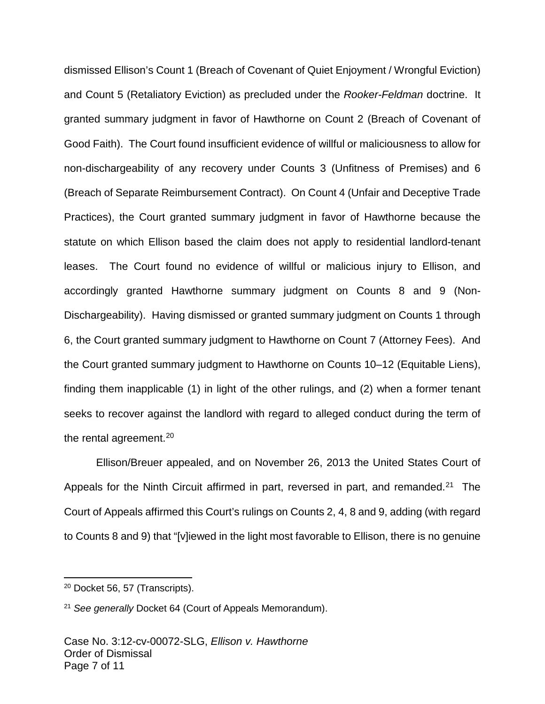dismissed Ellison's Count 1 (Breach of Covenant of Quiet Enjoyment / Wrongful Eviction) and Count 5 (Retaliatory Eviction) as precluded under the Rooker-Feldman doctrine. It granted summary judgment in favor of Hawthorne on Count 2 (Breach of Covenant of Good Faith). The Court found insufficient evidence of willful or maliciousness to allow for non-dischargeability of any recovery under Counts 3 (Unfitness of Premises) and 6 (Breach of Separate Reimbursement Contract). On Count 4 (Unfair and Deceptive Trade Practices), the Court granted summary judgment in favor of Hawthorne because the statute on which Ellison based the claim does not apply to residential landlord-tenant leases. The Court found no evidence of willful or malicious injury to Ellison, and accordingly granted Hawthorne summary judgment on Counts 8 and 9 (Non-Dischargeability). Having dismissed or granted summary judgment on Counts 1 through 6, the Court granted summary judgment to Hawthorne on Count 7 (Attorney Fees). And the Court granted summary judgment to Hawthorne on Counts 10–12 (Equitable Liens), finding them inapplicable (1) in light of the other rulings, and (2) when a former tenant seeks to recover against the landlord with regard to alleged conduct during the term of the rental agreement.<sup>[20](#page-6-0)</sup>

Ellison/Breuer appealed, and on November 26, 2013 the United States Court of Appeals for the Ninth Circuit affirmed in part, reversed in part, and remanded.<sup>[21](#page-6-1)</sup> The Court of Appeals affirmed this Court's rulings on Counts 2, 4, 8 and 9, adding (with regard to Counts 8 and 9) that "[v]iewed in the light most favorable to Ellison, there is no genuine

<span id="page-6-0"></span><sup>20</sup> Docket 56, 57 (Transcripts).

<span id="page-6-1"></span><sup>&</sup>lt;sup>21</sup> See generally Docket 64 (Court of Appeals Memorandum).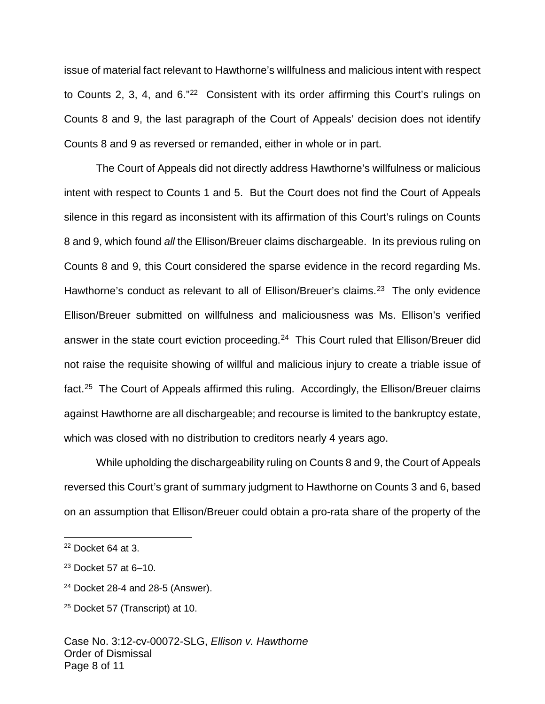issue of material fact relevant to Hawthorne's willfulness and malicious intent with respect to Counts 2, 3, 4, and 6."<sup>[22](#page-7-0)</sup> Consistent with its order affirming this Court's rulings on Counts 8 and 9, the last paragraph of the Court of Appeals' decision does not identify Counts 8 and 9 as reversed or remanded, either in whole or in part.

The Court of Appeals did not directly address Hawthorne's willfulness or malicious intent with respect to Counts 1 and 5. But the Court does not find the Court of Appeals silence in this regard as inconsistent with its affirmation of this Court's rulings on Counts 8 and 9, which found all the Ellison/Breuer claims dischargeable. In its previous ruling on Counts 8 and 9, this Court considered the sparse evidence in the record regarding Ms. Hawthorne's conduct as relevant to all of Ellison/Breuer's claims.<sup>[23](#page-7-1)</sup> The only evidence Ellison/Breuer submitted on willfulness and maliciousness was Ms. Ellison's verified answer in the state court eviction proceeding.<sup>[24](#page-7-2)</sup> This Court ruled that Ellison/Breuer did not raise the requisite showing of willful and malicious injury to create a triable issue of fact.<sup>[25](#page-7-3)</sup> The Court of Appeals affirmed this ruling. Accordingly, the Ellison/Breuer claims against Hawthorne are all dischargeable; and recourse is limited to the bankruptcy estate, which was closed with no distribution to creditors nearly 4 years ago.

While upholding the dischargeability ruling on Counts 8 and 9, the Court of Appeals reversed this Court's grant of summary judgment to Hawthorne on Counts 3 and 6, based on an assumption that Ellison/Breuer could obtain a pro-rata share of the property of the

<span id="page-7-0"></span> $22$  Docket 64 at 3.

<span id="page-7-1"></span> $23$  Docket 57 at 6-10.

<span id="page-7-2"></span><sup>24</sup> Docket 28-4 and 28-5 (Answer).

<span id="page-7-3"></span><sup>25</sup> Docket 57 (Transcript) at 10.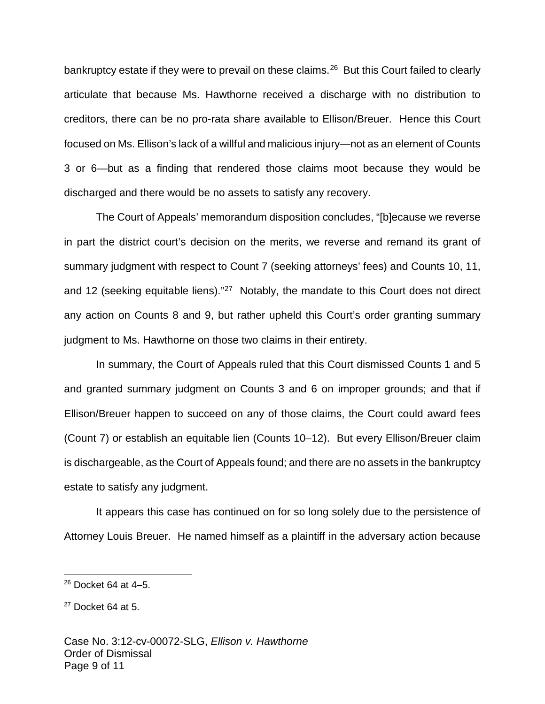bankruptcy estate if they were to prevail on these claims.<sup>[26](#page-8-0)</sup> But this Court failed to clearly articulate that because Ms. Hawthorne received a discharge with no distribution to creditors, there can be no pro-rata share available to Ellison/Breuer. Hence this Court focused on Ms. Ellison's lack of a willful and malicious injury—not as an element of Counts 3 or 6—but as a finding that rendered those claims moot because they would be discharged and there would be no assets to satisfy any recovery.

The Court of Appeals' memorandum disposition concludes, "[b]ecause we reverse in part the district court's decision on the merits, we reverse and remand its grant of summary judgment with respect to Count 7 (seeking attorneys' fees) and Counts 10, 11, and 12 (seeking equitable liens)."<sup>[27](#page-8-1)</sup> Notably, the mandate to this Court does not direct any action on Counts 8 and 9, but rather upheld this Court's order granting summary judgment to Ms. Hawthorne on those two claims in their entirety.

In summary, the Court of Appeals ruled that this Court dismissed Counts 1 and 5 and granted summary judgment on Counts 3 and 6 on improper grounds; and that if Ellison/Breuer happen to succeed on any of those claims, the Court could award fees (Count 7) or establish an equitable lien (Counts 10–12). But every Ellison/Breuer claim is dischargeable, as the Court of Appeals found; and there are no assets in the bankruptcy estate to satisfy any judgment.

It appears this case has continued on for so long solely due to the persistence of Attorney Louis Breuer. He named himself as a plaintiff in the adversary action because

<u>.</u>

<span id="page-8-0"></span> $26$  Docket 64 at 4–5.

<span id="page-8-1"></span> $27$  Docket 64 at 5.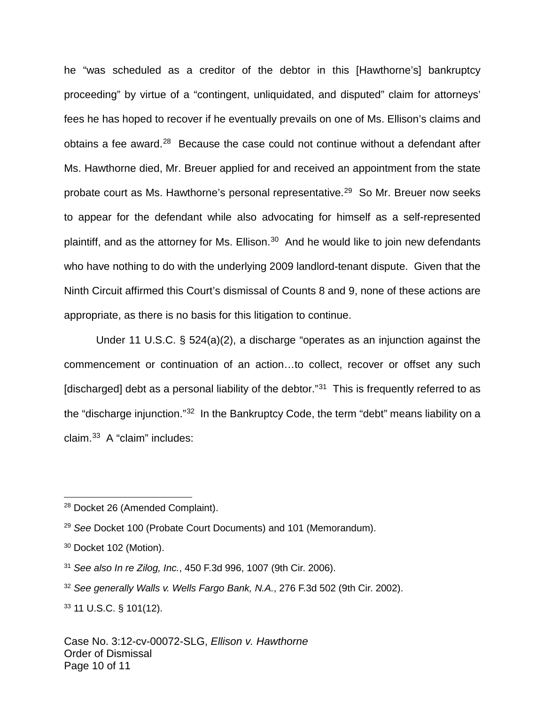he "was scheduled as a creditor of the debtor in this [Hawthorne's] bankruptcy proceeding" by virtue of a "contingent, unliquidated, and disputed" claim for attorneys' fees he has hoped to recover if he eventually prevails on one of Ms. Ellison's claims and obtains a fee award.<sup>[28](#page-9-0)</sup> Because the case could not continue without a defendant after Ms. Hawthorne died, Mr. Breuer applied for and received an appointment from the state probate court as Ms. Hawthorne's personal representative.<sup>[29](#page-9-1)</sup> So Mr. Breuer now seeks to appear for the defendant while also advocating for himself as a self-represented plaintiff, and as the attorney for Ms. Ellison. $30$  And he would like to join new defendants who have nothing to do with the underlying 2009 landlord-tenant dispute. Given that the Ninth Circuit affirmed this Court's dismissal of Counts 8 and 9, none of these actions are appropriate, as there is no basis for this litigation to continue.

Under 11 U.S.C. § 524(a)(2), a discharge "operates as an injunction against the commencement or continuation of an action…to collect, recover or offset any such [discharged] debt as a personal liability of the debtor."<sup>[31](#page-9-3)</sup> This is frequently referred to as the "discharge injunction."<sup>[32](#page-9-4)</sup> In the Bankruptcy Code, the term "debt" means liability on a claim.[33](#page-9-5) A "claim" includes:

<span id="page-9-0"></span><sup>28</sup> Docket 26 (Amended Complaint).

<span id="page-9-1"></span><sup>&</sup>lt;sup>29</sup> See Docket 100 (Probate Court Documents) and 101 (Memorandum).

<span id="page-9-2"></span><sup>&</sup>lt;sup>30</sup> Docket 102 (Motion).

<span id="page-9-3"></span> $31$  See also In re Zilog, Inc., 450 F.3d 996, 1007 (9th Cir. 2006).

<span id="page-9-4"></span><sup>&</sup>lt;sup>32</sup> See generally Walls v. Wells Fargo Bank, N.A., 276 F.3d 502 (9th Cir. 2002).

<span id="page-9-5"></span><sup>33</sup> 11 U.S.C. § 101(12).